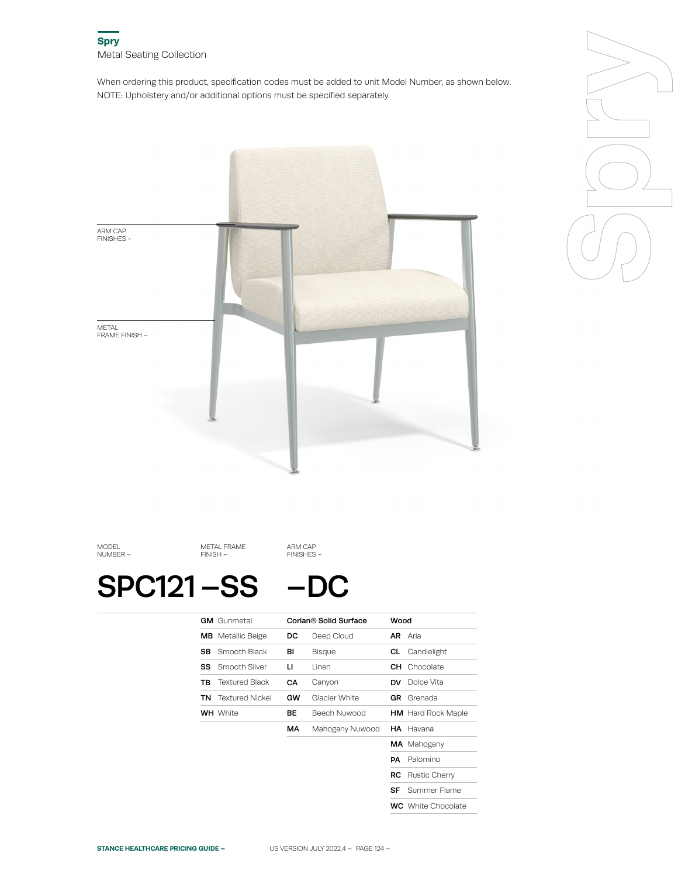When ordering this product, specification codes must be added to unit Model Number, as shown below. NOTE: Upholstery and/or additional options must be specified separately.





MODEL NUMBER –

METAL FRAME FINISH –

SPC121 –SS

–DC

ARM CAP FINISHES –

|     | <b>GM</b> Gunmetal       |    | Corian <sup>®</sup> Solid Surface | Wood      |                           |
|-----|--------------------------|----|-----------------------------------|-----------|---------------------------|
|     | <b>MB</b> Metallic Beige | DC | Deep Cloud                        |           | <b>AR</b> Aria            |
| SB. | Smooth Black             | BI | Bisque                            | CL        | Candlelight               |
| SS  | Smooth Silver            | п  | Linen                             | CH        | Chocolate                 |
| ΤВ  | <b>Textured Black</b>    | CА | Canyon                            | <b>DV</b> | Dolce Vita                |
| TN  | <b>Textured Nickel</b>   | GW | Glacier White                     | GR        | Grenada                   |
|     | <b>WH</b> White          | BЕ | Beech Nuwood                      |           | <b>HM</b> Hard Rock Maple |
|     |                          | МA | Mahogany Nuwood                   |           | <b>HA</b> Havana          |
|     |                          |    |                                   |           | <b>MA</b> Mahogany        |
|     |                          |    |                                   | PA        | Palomino                  |
|     |                          |    |                                   | RC        | Rustic Cherry             |
|     |                          |    |                                   | SF        | Summer Flame              |
|     |                          |    |                                   |           | <b>WC</b> White Chocolate |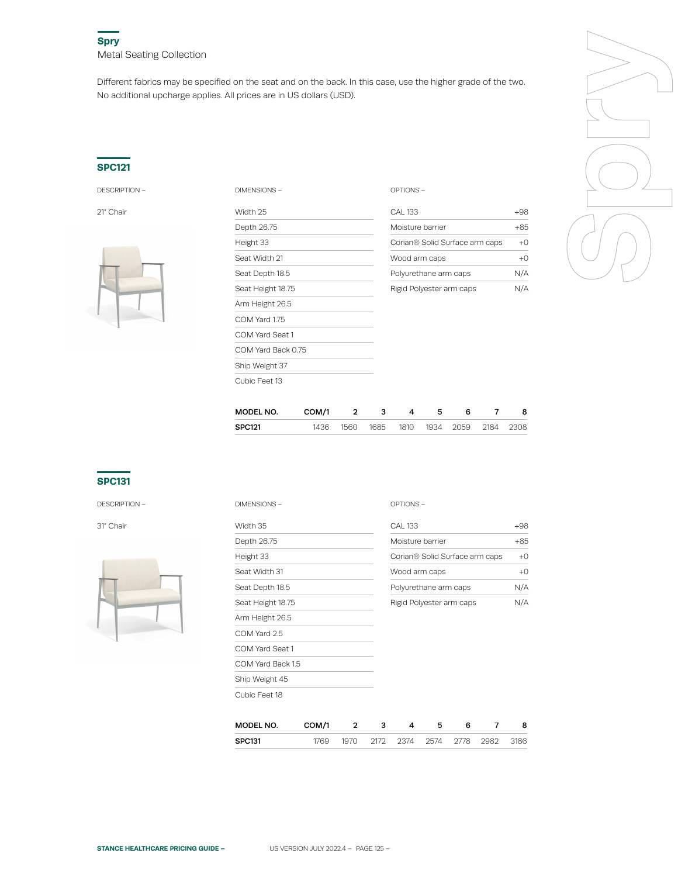Different fabrics may be specified on the seat and on the back. In this case, use the higher grade of the two. No additional upcharge applies. All prices are in US dollars (USD).

## **SPC121**



| DESCRIPTION - | DIMENSIONS-        | OPTIONS-                       |       |  |
|---------------|--------------------|--------------------------------|-------|--|
| 21" Chair     | Width 25           | <b>CAL 133</b>                 | $+98$ |  |
|               | Depth 26.75        | Moisture barrier               | $+85$ |  |
|               | Height 33          | Corian® Solid Surface arm caps | $+0$  |  |
|               | Seat Width 21      | Wood arm caps                  | $+0$  |  |
|               | Seat Depth 18.5    | Polyurethane arm caps          |       |  |
|               | Seat Height 18.75  | Rigid Polyester arm caps       | N/A   |  |
|               | Arm Height 26.5    |                                |       |  |
|               | COM Yard 1.75      |                                |       |  |
|               | COM Yard Seat 1    |                                |       |  |
|               | COM Yard Back 0.75 |                                |       |  |
|               | Ship Weight 37     |                                |       |  |
|               | Cubic Feet 13      |                                |       |  |

| CAI 133                                    | +ds   |
|--------------------------------------------|-------|
| Moisture barrier                           | $+85$ |
| Corian <sup>®</sup> Solid Surface arm caps | ⊦۲    |
| Wood arm caps                              | +۲    |
| Polyurethane arm caps                      | N/A   |
| Rigid Polyester arm caps                   |       |



| MODEL NO.     | COM/1 | - 3 | 4 |                                         | 8 |
|---------------|-------|-----|---|-----------------------------------------|---|
| <b>SPC121</b> |       |     |   | 1436 1560 1685 1810 1934 2059 2184 2308 |   |
|               |       |     |   |                                         |   |

# **SPC131**

DESCRIPTION –



| DESCRIPTION - | DIMENSIONS-                |                |              |   | OPTIONS-                 |   |                                |       |
|---------------|----------------------------|----------------|--------------|---|--------------------------|---|--------------------------------|-------|
| 31″ Chair     | Width 35                   | <b>CAL 133</b> |              |   |                          |   |                                |       |
|               | Depth 26.75                |                |              |   | Moisture barrier         |   |                                | $+85$ |
|               | Height 33<br>Seat Width 31 |                |              |   |                          |   | Corian® Solid Surface arm caps | $+0$  |
|               |                            |                |              |   | Wood arm caps            |   |                                |       |
|               | Seat Depth 18.5            |                |              |   | Polyurethane arm caps    |   |                                | N/A   |
|               | Seat Height 18.75          |                |              |   | Rigid Polyester arm caps |   |                                |       |
|               | Arm Height 26.5            |                |              |   |                          |   |                                |       |
|               | COM Yard 2.5               |                |              |   |                          |   |                                |       |
|               | COM Yard Seat 1            |                |              |   |                          |   |                                |       |
|               | COM Yard Back 1.5          |                |              |   |                          |   |                                |       |
|               | Ship Weight 45             |                |              |   |                          |   |                                |       |
|               | Cubic Feet 18              |                |              |   |                          |   |                                |       |
|               | MODEL NO.                  | COM/1          | $\mathbf{2}$ | з | 4                        | 5 | 6<br>7                         | 8     |

| MUDEL NU. | . |      |      |        |        |      | ö    |
|-----------|---|------|------|--------|--------|------|------|
| SPC131    |   | ว17ว | 237A | - 2574 | - 2778 | ാമദാ | 3186 |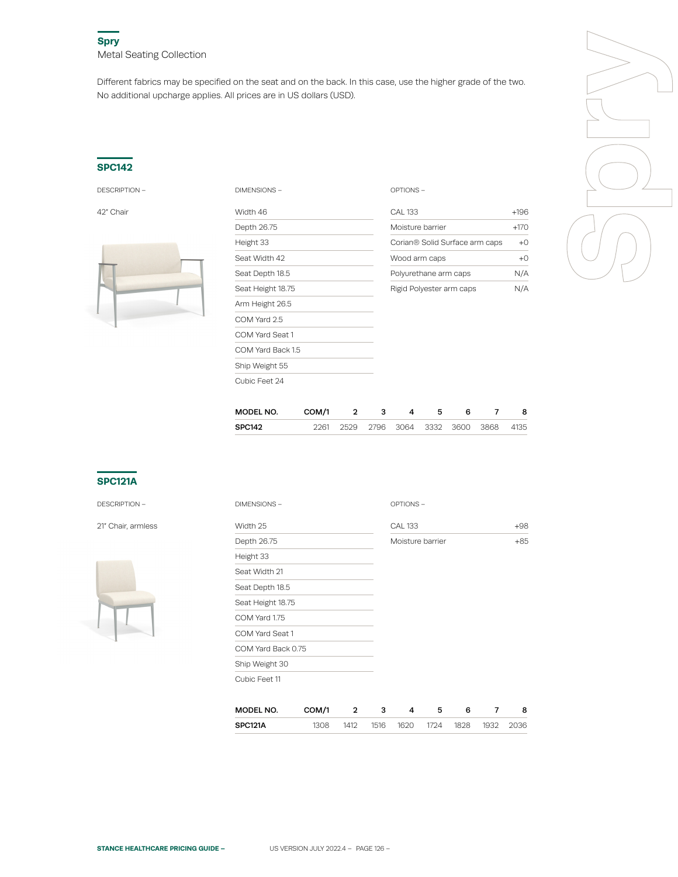Different fabrics may be specified on the seat and on the back. In this case, use the higher grade of the two. No additional upcharge applies. All prices are in US dollars (USD).

#### **SPC142**



| <b>DESCRIPTION -</b> | DIMENSIONS -      | OPTIONS-                       |        |  |
|----------------------|-------------------|--------------------------------|--------|--|
| 42" Chair            | Width 46          | <b>CAL 133</b>                 | $+196$ |  |
|                      | Depth 26.75       | Moisture barrier               | $+170$ |  |
|                      | Height 33         | Corian® Solid Surface arm caps | $+0$   |  |
|                      | Seat Width 42     | Wood arm caps                  | $+0$   |  |
|                      | Seat Depth 18.5   | Polyurethane arm caps          |        |  |
|                      | Seat Height 18.75 | Rigid Polyester arm caps       | N/A    |  |
|                      | Arm Height 26.5   |                                |        |  |
|                      | COM Yard 2.5      |                                |        |  |
|                      | COM Yard Seat 1   |                                |        |  |
|                      | COM Yard Back 1.5 |                                |        |  |
|                      | Ship Weight 55    |                                |        |  |
|                      | Cubic Feet 24     |                                |        |  |

| CAI 133                                    | $+196$   |
|--------------------------------------------|----------|
| Moisture barrier                           | $+170$   |
| Corian <sup>®</sup> Solid Surface arm caps | $+ \cap$ |
| Wood arm caps                              | $+ \cap$ |
| Polyurethane arm caps                      | N/A      |
| Rigid Polyester arm caps                   |          |



| MODEL NO. | COM/1 |  | 4 |  |                                         | 8 |
|-----------|-------|--|---|--|-----------------------------------------|---|
| SPC142    |       |  |   |  | 2261 2529 2796 3064 3332 3600 3868 4135 |   |

# **SPC121A**

DESCRIPTION –

21" Chair, armless



| <b>DIMENSIONS -</b> |       |   |   | OPTIONS-         |   |   |   |       |
|---------------------|-------|---|---|------------------|---|---|---|-------|
| Width 25            |       |   |   | <b>CAL 133</b>   |   |   |   | $+98$ |
| Depth 26.75         |       |   |   | Moisture barrier |   |   |   | $+85$ |
| Height 33           |       |   |   |                  |   |   |   |       |
| Seat Width 21       |       |   |   |                  |   |   |   |       |
| Seat Depth 18.5     |       |   |   |                  |   |   |   |       |
| Seat Height 18.75   |       |   |   |                  |   |   |   |       |
| COM Yard 1.75       |       |   |   |                  |   |   |   |       |
| COM Yard Seat 1     |       |   |   |                  |   |   |   |       |
| COM Yard Back 0.75  |       |   |   |                  |   |   |   |       |
| Ship Weight 30      |       |   |   |                  |   |   |   |       |
| Cubic Feet 11       |       |   |   |                  |   |   |   |       |
|                     |       |   |   |                  |   |   |   |       |
| MODEL NO.           | COM/1 | 2 | з | 4                | 5 | 6 | 7 | 8     |

| .       | ------- |      |      |      |      |      |      |      |
|---------|---------|------|------|------|------|------|------|------|
| SPC121A | או זא   | 1412 | 1516 | 1620 | 1724 | 1828 | 1932 | 2036 |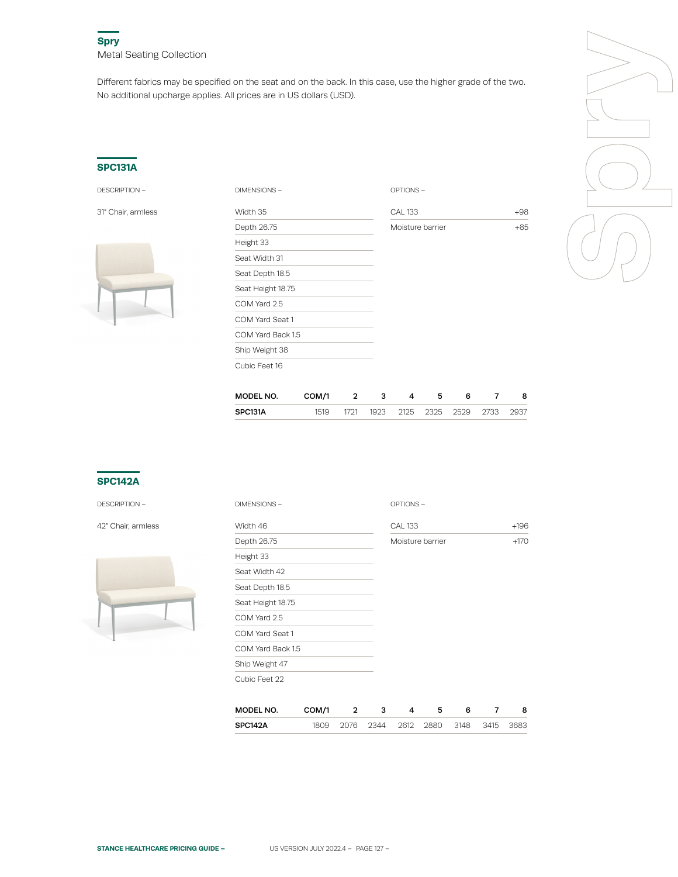Different fabrics may be specified on the seat and on the back. In this case, use the higher grade of the two. No additional upcharge applies. All prices are in US dollars (USD).

## **SPC131A**



| <b>DESCRIPTION -</b> | DIMENSIONS-       | OPTIONS-                |       |  |
|----------------------|-------------------|-------------------------|-------|--|
| 31" Chair, armless   | Width 35          | $+98$<br><b>CAL 133</b> |       |  |
|                      | Depth 26.75       | Moisture barrier        | $+85$ |  |
|                      | Height 33         |                         |       |  |
|                      | Seat Width 31     |                         |       |  |
|                      | Seat Depth 18.5   |                         |       |  |
|                      | Seat Height 18.75 |                         |       |  |
|                      | COM Yard 2.5      |                         |       |  |
|                      | COM Yard Seat 1   |                         |       |  |
|                      | COM Yard Back 1.5 |                         |       |  |
|                      | Ship Weight 38    |                         |       |  |
|                      | Cubic Feet 16     |                         |       |  |



| <b>MODEL NO.</b> | COM/1 |      |  |                          |      |
|------------------|-------|------|--|--------------------------|------|
| SPC131A          | 1519  | 1721 |  | 1923 2125 2325 2529 2733 | 2937 |

# **SPC142A**

DESCRIPTION –

42" Chair, armless



| DIMENSIONS-       |       |   |   | OPTIONS-         |   |   |   |        |
|-------------------|-------|---|---|------------------|---|---|---|--------|
| Width 46          |       |   |   | <b>CAL 133</b>   |   |   |   | $+196$ |
| Depth 26.75       |       |   |   | Moisture barrier |   |   |   | $+170$ |
| Height 33         |       |   |   |                  |   |   |   |        |
| Seat Width 42     |       |   |   |                  |   |   |   |        |
| Seat Depth 18.5   |       |   |   |                  |   |   |   |        |
| Seat Height 18.75 |       |   |   |                  |   |   |   |        |
| COM Yard 2.5      |       |   |   |                  |   |   |   |        |
| COM Yard Seat 1   |       |   |   |                  |   |   |   |        |
| COM Yard Back 1.5 |       |   |   |                  |   |   |   |        |
| Ship Weight 47    |       |   |   |                  |   |   |   |        |
| Cubic Feet 22     |       |   |   |                  |   |   |   |        |
|                   |       |   |   |                  |   |   |   |        |
| MODEL NO.         | COM/1 | 2 | 3 | 4                | 5 | 6 | 7 | 8      |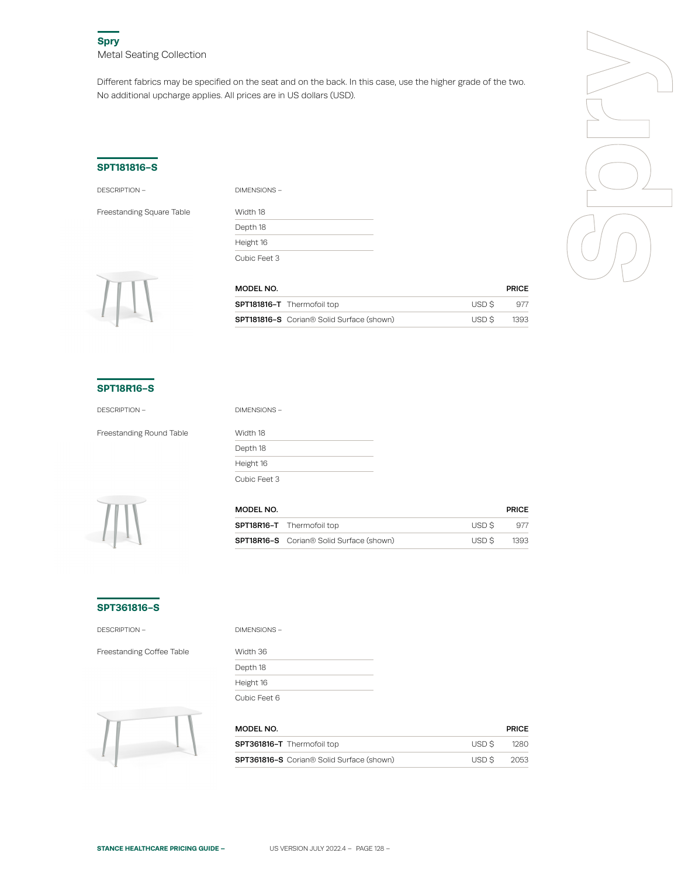Different fabrics may be specified on the seat and on the back. In this case, use the higher grade of the two. No additional upcharge applies. All prices are in US dollars (USD).

### **SPT181816-S**

DESCRIPTION – DIMENSIONS –

Freestanding Square Table

| .            |  |
|--------------|--|
| Width 18     |  |
| Depth 18     |  |
| Height 16    |  |
| Cubic Feet 3 |  |



| MODEL NO.                                                    |        | <b>PRICE</b> |
|--------------------------------------------------------------|--------|--------------|
| <b>SPT181816-T</b> Thermofoil top                            | USD S  | 977          |
| <b>SPT181816-S</b> Corian <sup>®</sup> Solid Surface (shown) | USD \$ | 1393         |

#### **SPT18R16-S**

Freestanding Round Table Width 18

DESCRIPTION – DIMENSIONS –

Depth 18 Height 16 Cubic Feet 3



| MODEL NO. |                                                 |       | <b>PRICE</b> |  |
|-----------|-------------------------------------------------|-------|--------------|--|
|           | <b>SPT18R16-T</b> Thermofoil top                | USD S | 977          |  |
|           | <b>SPT18R16-S</b> Corian® Solid Surface (shown) | USD S | 1393         |  |

## **SPT361816-S**

DESCRIPTION –

Freestanding Coffee Table

| DIMENSIONS – |  |
|--------------|--|
| Width 36     |  |
| Depth 18     |  |
| Height 16    |  |
| Cubic Feet 6 |  |



| MODEL NO.                                        |        | <b>PRICE</b> |
|--------------------------------------------------|--------|--------------|
| <b>SPT361816-T</b> Thermofoil top                | USD \$ | 1280         |
| <b>SPT361816-S</b> Corian® Solid Surface (shown) | USD \$ | -2053        |